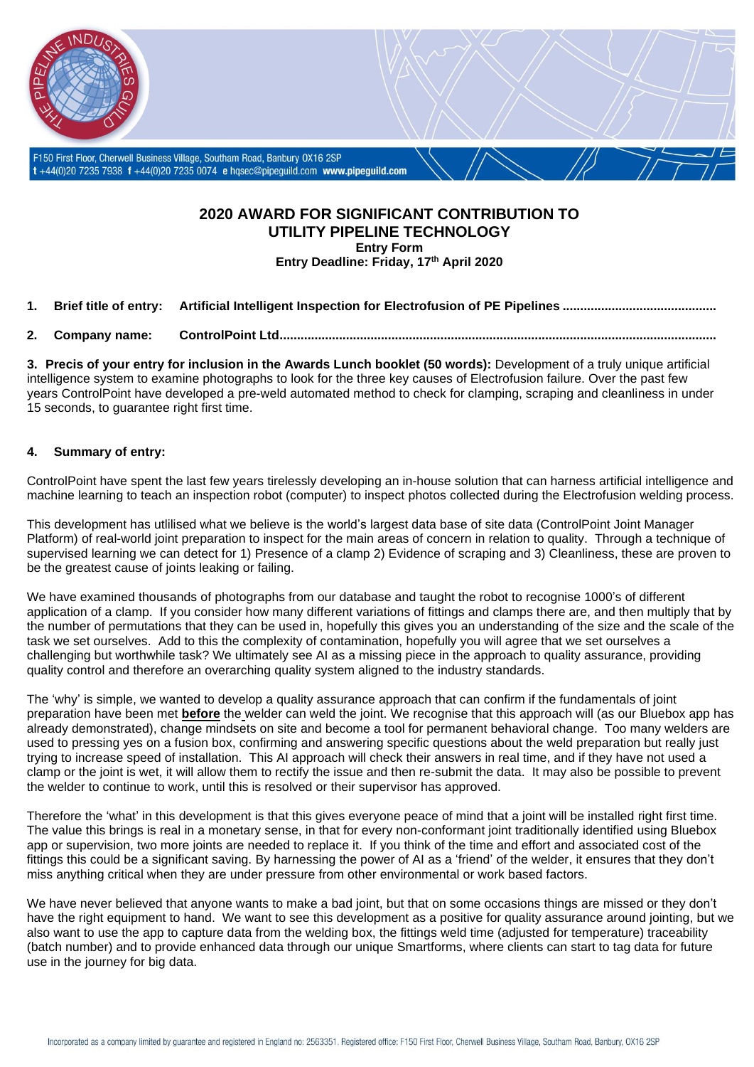

## **2020 AWARD FOR SIGNIFICANT CONTRIBUTION TO UTILITY PIPELINE TECHNOLOGY**

**Entry Form Entry Deadline: Friday, 17th April 2020**

**1. Brief title of entry: Artificial Intelligent Inspection for Electrofusion of PE Pipelines ............................................**

**2. Company name: ControlPoint Ltd.............................................................................................................................**

**3. Precis of your entry for inclusion in the Awards Lunch booklet (50 words):** Development of a truly unique artificial intelligence system to examine photographs to look for the three key causes of Electrofusion failure. Over the past few years ControlPoint have developed a pre-weld automated method to check for clamping, scraping and cleanliness in under 15 seconds, to guarantee right first time.

## **4. Summary of entry:**

ControlPoint have spent the last few years tirelessly developing an in-house solution that can harness artificial intelligence and machine learning to teach an inspection robot (computer) to inspect photos collected during the Electrofusion welding process.

This development has utlilised what we believe is the world's largest data base of site data (ControlPoint Joint Manager Platform) of real-world joint preparation to inspect for the main areas of concern in relation to quality. Through a technique of supervised learning we can detect for 1) Presence of a clamp 2) Evidence of scraping and 3) Cleanliness, these are proven to be the greatest cause of joints leaking or failing.

We have examined thousands of photographs from our database and taught the robot to recognise 1000's of different application of a clamp. If you consider how many different variations of fittings and clamps there are, and then multiply that by the number of permutations that they can be used in, hopefully this gives you an understanding of the size and the scale of the task we set ourselves. Add to this the complexity of contamination, hopefully you will agree that we set ourselves a challenging but worthwhile task? We ultimately see AI as a missing piece in the approach to quality assurance, providing quality control and therefore an overarching quality system aligned to the industry standards.

The 'why' is simple, we wanted to develop a quality assurance approach that can confirm if the fundamentals of joint preparation have been met **before** the welder can weld the joint. We recognise that this approach will (as our Bluebox app has already demonstrated), change mindsets on site and become a tool for permanent behavioral change. Too many welders are used to pressing yes on a fusion box, confirming and answering specific questions about the weld preparation but really just trying to increase speed of installation. This AI approach will check their answers in real time, and if they have not used a clamp or the joint is wet, it will allow them to rectify the issue and then re-submit the data. It may also be possible to prevent the welder to continue to work, until this is resolved or their supervisor has approved.

Therefore the 'what' in this development is that this gives everyone peace of mind that a joint will be installed right first time. The value this brings is real in a monetary sense, in that for every non-conformant joint traditionally identified using Bluebox app or supervision, two more joints are needed to replace it. If you think of the time and effort and associated cost of the fittings this could be a significant saving. By harnessing the power of AI as a 'friend' of the welder, it ensures that they don't miss anything critical when they are under pressure from other environmental or work based factors.

We have never believed that anyone wants to make a bad joint, but that on some occasions things are missed or they don't have the right equipment to hand. We want to see this development as a positive for quality assurance around jointing, but we also want to use the app to capture data from the welding box, the fittings weld time (adjusted for temperature) traceability (batch number) and to provide enhanced data through our unique Smartforms, where clients can start to tag data for future use in the journey for big data.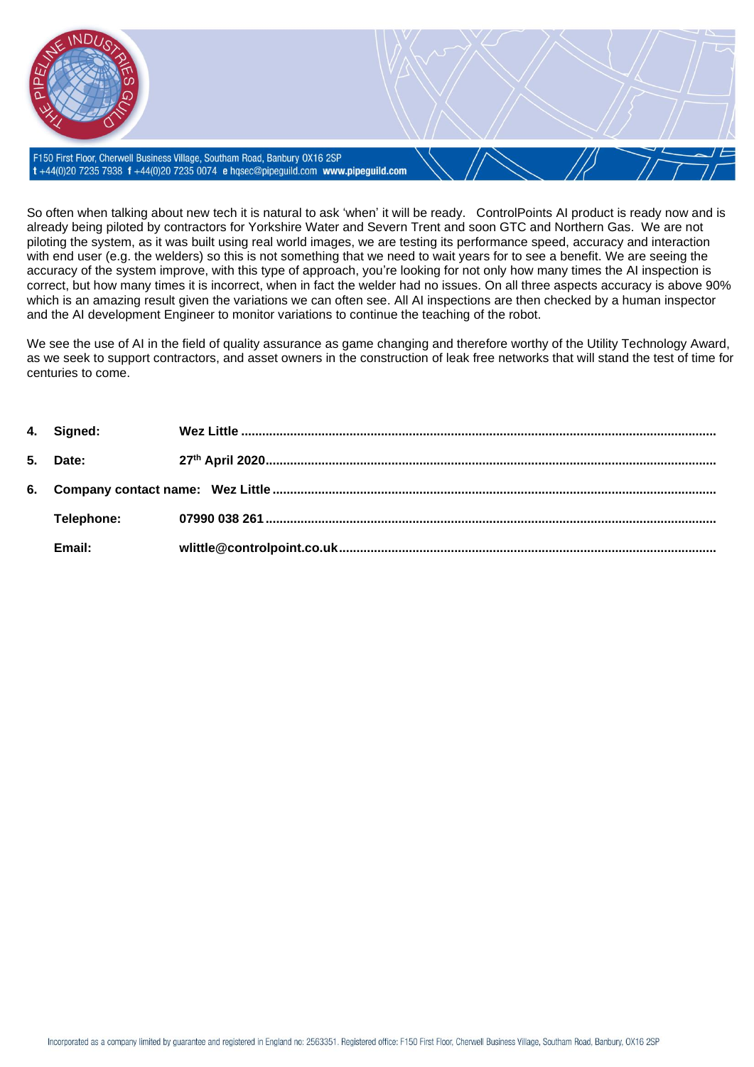F150 First Floor, Cherwell Business Village, Southam Road, Banbury 0X16 2SP t+44(0)20 7235 7938 f+44(0)20 7235 0074 e hqsec@pipeguild.com www.pipeguild.com

So often when talking about new tech it is natural to ask 'when' it will be ready. ControlPoints AI product is ready now and is already being piloted by contractors for Yorkshire Water and Severn Trent and soon GTC and Northern Gas. We are not piloting the system, as it was built using real world images, we are testing its performance speed, accuracy and interaction with end user (e.g. the welders) so this is not something that we need to wait years for to see a benefit. We are seeing the accuracy of the system improve, with this type of approach, you're looking for not only how many times the AI inspection is correct, but how many times it is incorrect, when in fact the welder had no issues. On all three aspects accuracy is above 90% which is an amazing result given the variations we can often see. All AI inspections are then checked by a human inspector and the AI development Engineer to monitor variations to continue the teaching of the robot.

We see the use of AI in the field of quality assurance as game changing and therefore worthy of the Utility Technology Award, as we seek to support contractors, and asset owners in the construction of leak free networks that will stand the test of time for centuries to come.

| 4. Signed:      |  |
|-----------------|--|
| <b>5.</b> Date: |  |
|                 |  |
| Telephone:      |  |
| Email:          |  |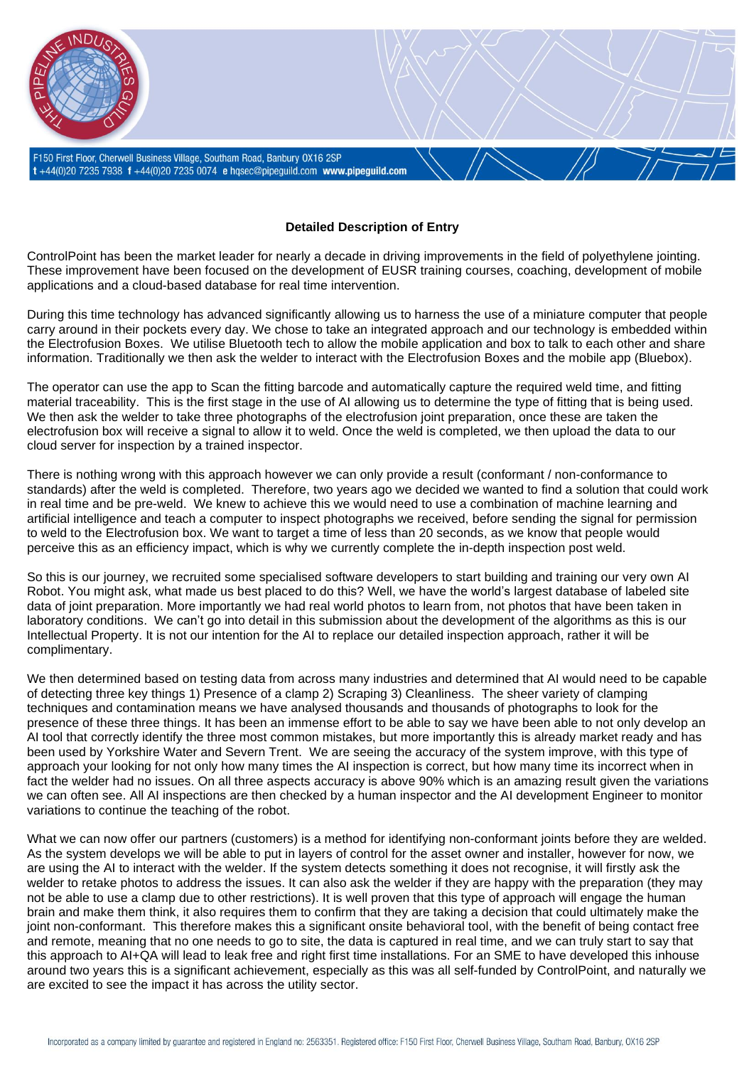

## **Detailed Description of Entry**

ControlPoint has been the market leader for nearly a decade in driving improvements in the field of polyethylene jointing. These improvement have been focused on the development of EUSR training courses, coaching, development of mobile applications and a cloud-based database for real time intervention.

During this time technology has advanced significantly allowing us to harness the use of a miniature computer that people carry around in their pockets every day. We chose to take an integrated approach and our technology is embedded within the Electrofusion Boxes. We utilise Bluetooth tech to allow the mobile application and box to talk to each other and share information. Traditionally we then ask the welder to interact with the Electrofusion Boxes and the mobile app (Bluebox).

The operator can use the app to Scan the fitting barcode and automatically capture the required weld time, and fitting material traceability. This is the first stage in the use of AI allowing us to determine the type of fitting that is being used. We then ask the welder to take three photographs of the electrofusion joint preparation, once these are taken the electrofusion box will receive a signal to allow it to weld. Once the weld is completed, we then upload the data to our cloud server for inspection by a trained inspector.

There is nothing wrong with this approach however we can only provide a result (conformant / non-conformance to standards) after the weld is completed. Therefore, two years ago we decided we wanted to find a solution that could work in real time and be pre-weld. We knew to achieve this we would need to use a combination of machine learning and artificial intelligence and teach a computer to inspect photographs we received, before sending the signal for permission to weld to the Electrofusion box. We want to target a time of less than 20 seconds, as we know that people would perceive this as an efficiency impact, which is why we currently complete the in-depth inspection post weld.

So this is our journey, we recruited some specialised software developers to start building and training our very own AI Robot. You might ask, what made us best placed to do this? Well, we have the world's largest database of labeled site data of joint preparation. More importantly we had real world photos to learn from, not photos that have been taken in laboratory conditions. We can't go into detail in this submission about the development of the algorithms as this is our Intellectual Property. It is not our intention for the AI to replace our detailed inspection approach, rather it will be complimentary.

We then determined based on testing data from across many industries and determined that AI would need to be capable of detecting three key things 1) Presence of a clamp 2) Scraping 3) Cleanliness. The sheer variety of clamping techniques and contamination means we have analysed thousands and thousands of photographs to look for the presence of these three things. It has been an immense effort to be able to say we have been able to not only develop an AI tool that correctly identify the three most common mistakes, but more importantly this is already market ready and has been used by Yorkshire Water and Severn Trent. We are seeing the accuracy of the system improve, with this type of approach your looking for not only how many times the AI inspection is correct, but how many time its incorrect when in fact the welder had no issues. On all three aspects accuracy is above 90% which is an amazing result given the variations we can often see. All AI inspections are then checked by a human inspector and the AI development Engineer to monitor variations to continue the teaching of the robot.

What we can now offer our partners (customers) is a method for identifying non-conformant joints before they are welded. As the system develops we will be able to put in layers of control for the asset owner and installer, however for now, we are using the AI to interact with the welder. If the system detects something it does not recognise, it will firstly ask the welder to retake photos to address the issues. It can also ask the welder if they are happy with the preparation (they may not be able to use a clamp due to other restrictions). It is well proven that this type of approach will engage the human brain and make them think, it also requires them to confirm that they are taking a decision that could ultimately make the joint non-conformant. This therefore makes this a significant onsite behavioral tool, with the benefit of being contact free and remote, meaning that no one needs to go to site, the data is captured in real time, and we can truly start to say that this approach to AI+QA will lead to leak free and right first time installations. For an SME to have developed this inhouse around two years this is a significant achievement, especially as this was all self-funded by ControlPoint, and naturally we are excited to see the impact it has across the utility sector.